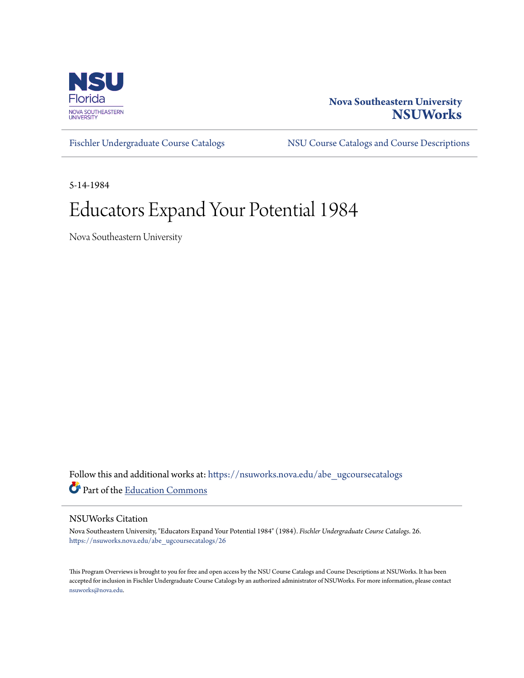

## **Nova Southeastern University [NSUWorks](https://nsuworks.nova.edu?utm_source=nsuworks.nova.edu%2Fabe_ugcoursecatalogs%2F26&utm_medium=PDF&utm_campaign=PDFCoverPages)**

[Fischler Undergraduate Course Catalogs](https://nsuworks.nova.edu/abe_ugcoursecatalogs?utm_source=nsuworks.nova.edu%2Fabe_ugcoursecatalogs%2F26&utm_medium=PDF&utm_campaign=PDFCoverPages) [NSU Course Catalogs and Course Descriptions](https://nsuworks.nova.edu/nsu_catalogs?utm_source=nsuworks.nova.edu%2Fabe_ugcoursecatalogs%2F26&utm_medium=PDF&utm_campaign=PDFCoverPages)

5-14-1984

# Educators Expand Your Potential 1984

Nova Southeastern University

Follow this and additional works at: [https://nsuworks.nova.edu/abe\\_ugcoursecatalogs](https://nsuworks.nova.edu/abe_ugcoursecatalogs?utm_source=nsuworks.nova.edu%2Fabe_ugcoursecatalogs%2F26&utm_medium=PDF&utm_campaign=PDFCoverPages) Part of the [Education Commons](http://network.bepress.com/hgg/discipline/784?utm_source=nsuworks.nova.edu%2Fabe_ugcoursecatalogs%2F26&utm_medium=PDF&utm_campaign=PDFCoverPages)

#### NSUWorks Citation

Nova Southeastern University, "Educators Expand Your Potential 1984" (1984). *Fischler Undergraduate Course Catalogs*. 26. [https://nsuworks.nova.edu/abe\\_ugcoursecatalogs/26](https://nsuworks.nova.edu/abe_ugcoursecatalogs/26?utm_source=nsuworks.nova.edu%2Fabe_ugcoursecatalogs%2F26&utm_medium=PDF&utm_campaign=PDFCoverPages)

This Program Overviews is brought to you for free and open access by the NSU Course Catalogs and Course Descriptions at NSUWorks. It has been accepted for inclusion in Fischler Undergraduate Course Catalogs by an authorized administrator of NSUWorks. For more information, please contact [nsuworks@nova.edu.](mailto:nsuworks@nova.edu)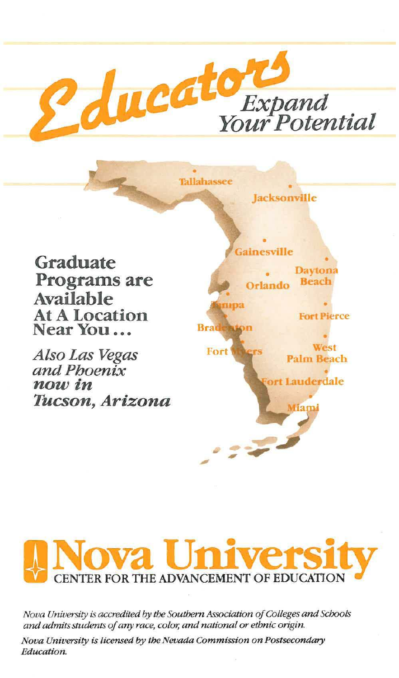

**Tallahassee** 

Graduate Programs are Available At A Location Near You ...

Also Las Vegas and Phoenix now in Tucson, Arizona





*Nova University is accredited by the Southern Association of Colleges and Schools and admits students of any race, color, and national or ethnic ongin.* 

*Nova University is licensed* by *the Nevada Commission on Postsecondary Education.*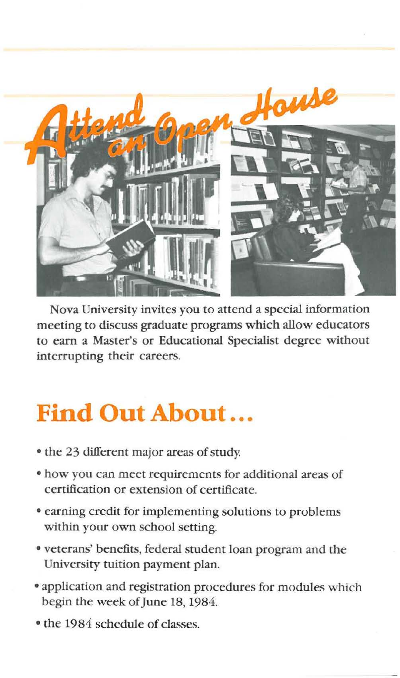

Nova University invites you to attend a special information meeting to discuss graduate programs which allow educators to earn a Master's or Educational Specialist degree without interrupting their careers.

## **Find Out About ...**

- the 23 different major areas of study.
- how you can meet requirements for additional areas of certification or extension of certificate.
- o earning credit for implementing solutions to problems within your own school setting.
- o veterans' benefits, federal student loan program and the University tuition payment plan.
- o application and registration procedures for modules which begin the week of June 18, 1984.
- the 1984 schedule of classes.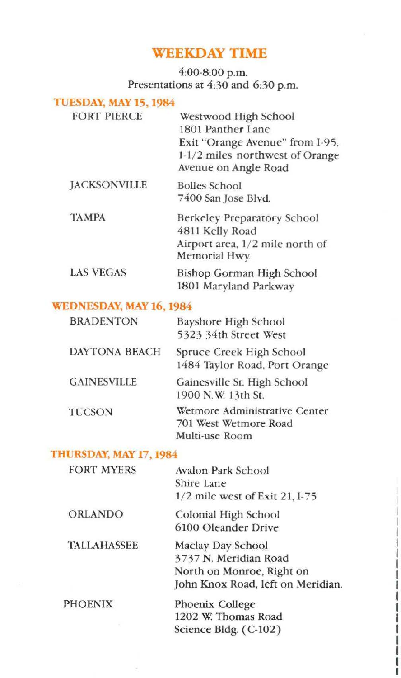## **WEEKDAY TIME**

#### 4:00·8:00 p.m. Presentations at 4:30 and 6:30 p.m.

#### TUESDAY, MAY 15, 1984 FORT PIERCE **JACKSONVILLE** TAMPA LAS VEGAS Westwood High School 1801 Panther Lane Exit "Orange Avenue" from I-95, 1-1/2 miles northwest of Orange Avenue on Angle Road Bolles School 7400 San Jose Blvd. Berkeley Preparatory School 4811 Kelly Road **Airport area, 1/ 2 mile north of**  Memorial Hwy Bishop Gorman High School 1801 Maryland Parkway WEDNESDAY, MAY 16,1984

| <b>BRADENTON</b>     | <b>Bayshore High School</b><br>5323 34th Street West                     |
|----------------------|--------------------------------------------------------------------------|
| <b>DAYTONA BEACH</b> | Spruce Creek High School<br>1484 Taylor Road, Port Orange                |
| <b>GAINESVILLE</b>   | Gainesville Sr. High School<br>1900 N.W. 13th St.                        |
| <b>TUCSON</b>        | Wetmore Administrative Center<br>701 West Wetmore Road<br>Multi-use Room |

#### THURSDAY, MAY 17,1984

| <b>FORT MYERS</b>  | Avalon Park School<br>Shire Lane  |
|--------------------|-----------------------------------|
|                    | 1/2 mile west of Exit 21, I-75    |
| <b>ORLANDO</b>     | Colonial High School              |
|                    | 6100 Oleander Drive               |
| <b>TALLAHASSEE</b> | Maclay Day School                 |
|                    | 3737 N. Meridian Road             |
|                    | North on Monroe, Right on         |
|                    | John Knox Road, left on Meridian. |
| <b>PHOENIX</b>     | Phoenix College                   |
|                    | 1202 W. Thomas Road               |
|                    | Science Bldg. $(C-102)$           |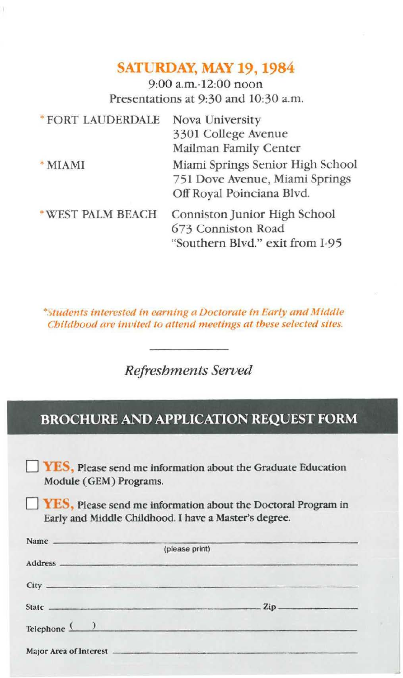## **SATURDAY, MAY 19,1984**

9:00 a.m.-12:00 noon Presentations at 9:30 and 10:30 a.m.

| *FORT LAUDERDALE | Nova University                                                                                 |
|------------------|-------------------------------------------------------------------------------------------------|
|                  | 3301 College Avenue                                                                             |
|                  | Mailman Family Center                                                                           |
| * MIAMI          | Miami Springs Senior High School<br>751 Dove Avenue, Miami Springs<br>Off Royal Poinciana Blvd. |
| *WEST PALM BEACH | Conniston Junior High School<br>673 Conniston Road<br>"Southern Blvd." exit from I-95           |

\*Students interested in earning a Doctorate in Early and Middle *Childbood are invited to attend meetings at these selected sites.* 

*Refreshments Served* 

## **BROCHURE AND APPLICATION REQUEST FORM**

YES, Please send me information about the Graduate Education Module (GEM) Programs.

**YES**, Please send me information about the Doctoral Program in Early and Middle Childhood. I have a Master's degree.

| (please print)              |  |
|-----------------------------|--|
|                             |  |
|                             |  |
|                             |  |
| $\mathsf{Telephone}$ $\Box$ |  |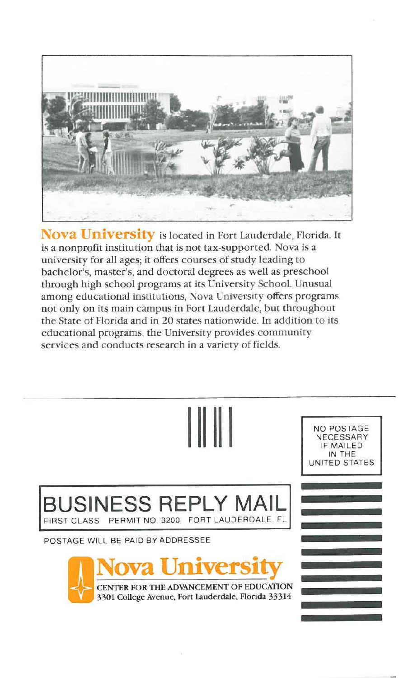

Nova University is located in Fort Lauderdale, Florida. It is a nonprofit institution that is not tax-supported. Nova is a university for all ages; it offers courses of study leading to bachelor's, master's, and doctoral degrees as well as preschool through high school programs at its University SchooL Unusual among educational institutions, Nova University offers programs not only on its main campus in Fort Lauderdale, but throughout rhe State of Florida and in 20 states nationwide. In addition to its educational programs, the University provides community services and conducts research in a variety of fields.